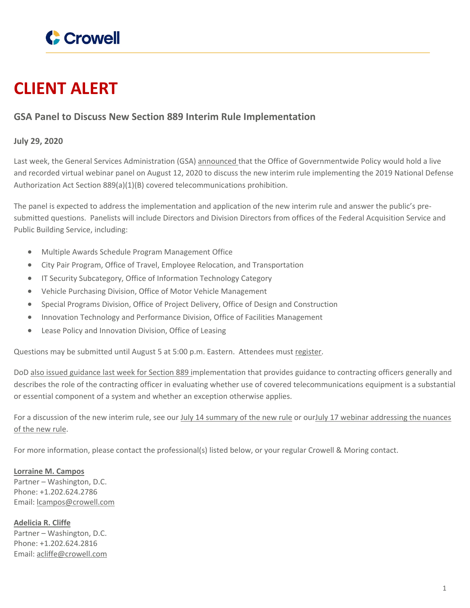

## **CLIENT ALERT**

## **GSA Panel to Discuss New Section 889 Interim Rule Implementation**

## **July 29, 2020**

Last week, the General Services Administration (GSA) [announced](https://www.federalregister.gov/documents/2020/07/22/2020-15846/notice-of-gsa-live-webinar-regarding-gsas-implementation-of-section-889-of-the-fy-2019-national) that the Office of Governmentwide Policy would hold a live and recorded virtual webinar panel on August 12, 2020 to discuss the new interim rule implementing the 2019 National Defense Authorization Act Section 889(a)(1)(B) covered telecommunications prohibition.

The panel is expected to address the implementation and application of the new interim rule and answer the public's presubmitted questions. Panelists will include Directors and Division Directors from offices of the Federal Acquisition Service and Public Building Service, including:

- Multiple Awards Schedule Program Management Office
- City Pair Program, Office of Travel, Employee Relocation, and Transportation
- **IF Security Subcategory, Office of Information Technology Category**
- Vehicle Purchasing Division, Office of Motor Vehicle Management
- Special Programs Division, Office of Project Delivery, Office of Design and Construction
- Innovation Technology and Performance Division, Office of Facilities Management
- Lease Policy and Innovation Division, Office of Leasing

Questions may be submitted until August 5 at 5:00 p.m. Eastern. Attendees must [register.](https://www.acquisition.gov/gsa-deviation/supply-chain-aug13)

DoD also issued [guidance](https://www.acq.osd.mil/dpap/policy/policyvault/USA001557-20-DPC.pdf) last week for Section 889 implementation that provides guidance to contracting officers generally and describes the role of the contracting officer in evaluating whether use of covered telecommunications equipment is a substantial or essential component of a system and whether an exception otherwise applies.

For a discussion of the new interim rule, see our July 14 [summary](https://www.crowell.com/NewsEvents/AlertsNewsletters/all/FAR-Council-Pre-Publishes-2019-NDAA-Section-889a1B-Interim-Rule-Further-Prohibiting-Use-of-Huawei-ZTE-and-Others-Telecommunications-Technology-by-Contractors) of the new rule or ourJuly 17 webinar [addressing](https://www.crowell.com/Practices/Government-Contracts/Government-Contracts-Webinars/events/Youre-Going-to-Be-Busy-Section-889-Chinese-Telecom-Prohibition-Update-on-Interim-Rule) the nuances of the [new](https://www.crowell.com/Practices/Government-Contracts/Government-Contracts-Webinars/events/Youre-Going-to-Be-Busy-Section-889-Chinese-Telecom-Prohibition-Update-on-Interim-Rule) rule.

For more information, please contact the professional(s) listed below, or your regular Crowell & Moring contact.

## **[Lorraine](https://www.crowell.com/professionals/Lorraine-Campos) M. Campos**

Partner – Washington, D.C. Phone: +1.202.624.2786 Email: [lcampos@crowell.com](mailto:lcampos@crowell.com)

**[Adelicia](https://www.crowell.com/professionals/Adelicia-Cliffe) R. Cliffe** Partner – Washington, D.C. Phone: +1.202.624.2816 Email: [acliffe@crowell.com](mailto:acliffe@crowell.com)